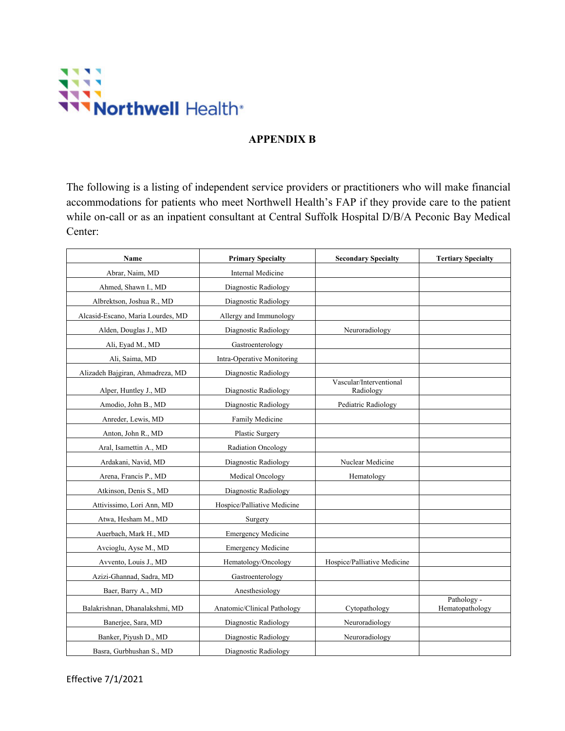

## **APPENDIX B**

The following is a listing of independent service providers or practitioners who will make financial accommodations for patients who meet Northwell Health's FAP if they provide care to the patient while on-call or as an inpatient consultant at Central Suffolk Hospital D/B/A Peconic Bay Medical Center:

| Name                              | <b>Primary Specialty</b>    | <b>Secondary Specialty</b>           | <b>Tertiary Specialty</b>      |
|-----------------------------------|-----------------------------|--------------------------------------|--------------------------------|
| Abrar, Naim, MD                   | Internal Medicine           |                                      |                                |
| Ahmed, Shawn I., MD               | Diagnostic Radiology        |                                      |                                |
| Albrektson, Joshua R., MD         | Diagnostic Radiology        |                                      |                                |
| Alcasid-Escano, Maria Lourdes, MD | Allergy and Immunology      |                                      |                                |
| Alden, Douglas J., MD             | Diagnostic Radiology        | Neuroradiology                       |                                |
| Ali, Eyad M., MD                  | Gastroenterology            |                                      |                                |
| Ali, Saima, MD                    | Intra-Operative Monitoring  |                                      |                                |
| Alizadeh Bajgiran, Ahmadreza, MD  | Diagnostic Radiology        |                                      |                                |
| Alper, Huntley J., MD             | Diagnostic Radiology        | Vascular/Interventional<br>Radiology |                                |
| Amodio, John B., MD               | Diagnostic Radiology        | Pediatric Radiology                  |                                |
| Anreder, Lewis, MD                | Family Medicine             |                                      |                                |
| Anton, John R., MD                | Plastic Surgery             |                                      |                                |
| Aral, Isamettin A., MD            | <b>Radiation Oncology</b>   |                                      |                                |
| Ardakani, Navid, MD               | Diagnostic Radiology        | Nuclear Medicine                     |                                |
| Arena, Francis P., MD             | Medical Oncology            | Hematology                           |                                |
| Atkinson, Denis S., MD            | Diagnostic Radiology        |                                      |                                |
| Attivissimo, Lori Ann, MD         | Hospice/Palliative Medicine |                                      |                                |
| Atwa, Hesham M., MD               | Surgery                     |                                      |                                |
| Auerbach, Mark H., MD             | <b>Emergency Medicine</b>   |                                      |                                |
| Avcioglu, Ayse M., MD             | <b>Emergency Medicine</b>   |                                      |                                |
| Avvento, Louis J., MD             | Hematology/Oncology         | Hospice/Palliative Medicine          |                                |
| Azizi-Ghannad, Sadra, MD          | Gastroenterology            |                                      |                                |
| Baer, Barry A., MD                | Anesthesiology              |                                      |                                |
| Balakrishnan, Dhanalakshmi, MD    | Anatomic/Clinical Pathology | Cytopathology                        | Pathology -<br>Hematopathology |
| Banerjee, Sara, MD                | Diagnostic Radiology        | Neuroradiology                       |                                |
| Banker, Piyush D., MD             | Diagnostic Radiology        | Neuroradiology                       |                                |
| Basra, Gurbhushan S., MD          | Diagnostic Radiology        |                                      |                                |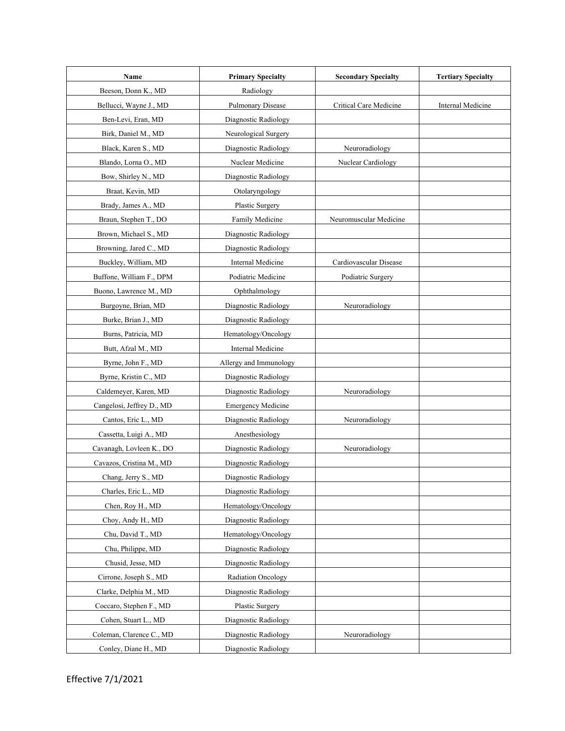| Name                      | <b>Primary Specialty</b>  | <b>Secondary Specialty</b> | <b>Tertiary Specialty</b> |
|---------------------------|---------------------------|----------------------------|---------------------------|
| Beeson, Donn K., MD       | Radiology                 |                            |                           |
| Bellucci, Wayne J., MD    | <b>Pulmonary Disease</b>  | Critical Care Medicine     | Internal Medicine         |
| Ben-Levi, Eran, MD        | Diagnostic Radiology      |                            |                           |
| Birk, Daniel M., MD       | Neurological Surgery      |                            |                           |
| Black, Karen S., MD       | Diagnostic Radiology      | Neuroradiology             |                           |
| Blando, Lorna O., MD      | Nuclear Medicine          | Nuclear Cardiology         |                           |
| Bow, Shirley N., MD       | Diagnostic Radiology      |                            |                           |
| Braat, Kevin, MD          | Otolaryngology            |                            |                           |
| Brady, James A., MD       | Plastic Surgery           |                            |                           |
| Braun, Stephen T., DO     | Family Medicine           | Neuromuscular Medicine     |                           |
| Brown, Michael S., MD     | Diagnostic Radiology      |                            |                           |
| Browning, Jared C., MD    | Diagnostic Radiology      |                            |                           |
| Buckley, William, MD      | Internal Medicine         | Cardiovascular Disease     |                           |
| Buffone, William F., DPM  | Podiatric Medicine        | Podiatric Surgery          |                           |
| Buono, Lawrence M., MD    | Ophthalmology             |                            |                           |
| Burgoyne, Brian, MD       | Diagnostic Radiology      | Neuroradiology             |                           |
| Burke, Brian J., MD       | Diagnostic Radiology      |                            |                           |
| Burns, Patricia, MD       | Hematology/Oncology       |                            |                           |
| Butt, Afzal M., MD        | Internal Medicine         |                            |                           |
| Byrne, John F., MD        | Allergy and Immunology    |                            |                           |
| Byrne, Kristin C., MD     | Diagnostic Radiology      |                            |                           |
| Caldemeyer, Karen, MD     | Diagnostic Radiology      | Neuroradiology             |                           |
| Cangelosi, Jeffrey D., MD | <b>Emergency Medicine</b> |                            |                           |
| Cantos, Eric L., MD       | Diagnostic Radiology      | Neuroradiology             |                           |
| Cassetta, Luigi A., MD    | Anesthesiology            |                            |                           |
| Cavanagh, Lovleen K., DO  | Diagnostic Radiology      | Neuroradiology             |                           |
| Cavazos, Cristina M., MD  | Diagnostic Radiology      |                            |                           |
| Chang, Jerry S., MD       | Diagnostic Radiology      |                            |                           |
| Charles, Eric L., MD      | Diagnostic Radiology      |                            |                           |
| Chen, Roy H., MD          | Hematology/Oncology       |                            |                           |
| Choy, Andy H., MD         | Diagnostic Radiology      |                            |                           |
| Chu, David T., MD         | Hematology/Oncology       |                            |                           |
| Chu, Philippe, MD         | Diagnostic Radiology      |                            |                           |
| Chusid, Jesse, MD         | Diagnostic Radiology      |                            |                           |
| Cirrone, Joseph S., MD    | Radiation Oncology        |                            |                           |
| Clarke, Delphia M., MD    | Diagnostic Radiology      |                            |                           |
| Coccaro, Stephen F., MD   | Plastic Surgery           |                            |                           |
| Cohen, Stuart L., MD      | Diagnostic Radiology      |                            |                           |
| Coleman, Clarence C., MD  | Diagnostic Radiology      | Neuroradiology             |                           |
| Conley, Diane H., MD      | Diagnostic Radiology      |                            |                           |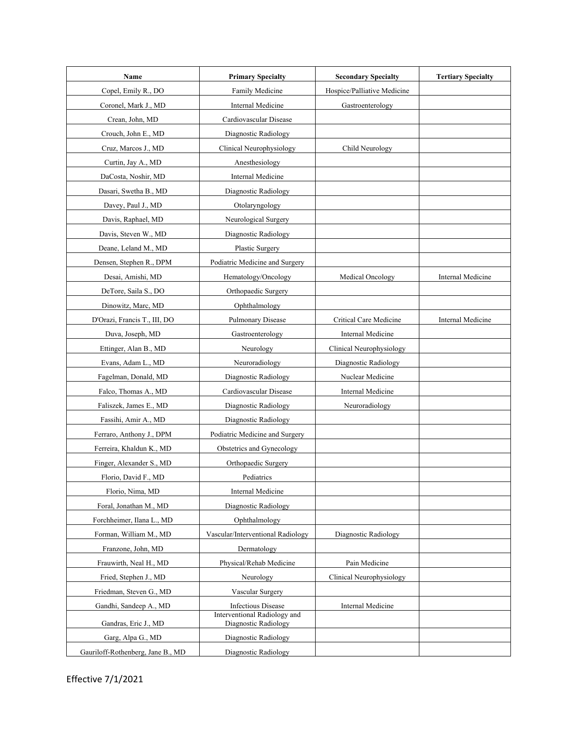| Name                              | <b>Primary Specialty</b>                             | <b>Secondary Specialty</b>  | <b>Tertiary Specialty</b> |
|-----------------------------------|------------------------------------------------------|-----------------------------|---------------------------|
| Copel, Emily R., DO               | Family Medicine                                      | Hospice/Palliative Medicine |                           |
| Coronel, Mark J., MD              | Internal Medicine                                    | Gastroenterology            |                           |
| Crean, John, MD                   | Cardiovascular Disease                               |                             |                           |
| Crouch, John E., MD               | Diagnostic Radiology                                 |                             |                           |
| Cruz, Marcos J., MD               | Clinical Neurophysiology                             | Child Neurology             |                           |
| Curtin, Jay A., MD                | Anesthesiology                                       |                             |                           |
| DaCosta, Noshir, MD               | <b>Internal Medicine</b>                             |                             |                           |
| Dasari, Swetha B., MD             | Diagnostic Radiology                                 |                             |                           |
| Davey, Paul J., MD                | Otolaryngology                                       |                             |                           |
| Davis, Raphael, MD                | Neurological Surgery                                 |                             |                           |
| Davis, Steven W., MD              | Diagnostic Radiology                                 |                             |                           |
| Deane, Leland M., MD              | Plastic Surgery                                      |                             |                           |
| Densen, Stephen R., DPM           | Podiatric Medicine and Surgery                       |                             |                           |
| Desai, Amishi, MD                 | Hematology/Oncology                                  | Medical Oncology            | Internal Medicine         |
| DeTore, Saila S., DO              | Orthopaedic Surgery                                  |                             |                           |
| Dinowitz, Marc, MD                | Ophthalmology                                        |                             |                           |
| D'Orazi, Francis T., III, DO      | Pulmonary Disease                                    | Critical Care Medicine      | Internal Medicine         |
| Duva, Joseph, MD                  | Gastroenterology                                     | Internal Medicine           |                           |
| Ettinger, Alan B., MD             | Neurology                                            | Clinical Neurophysiology    |                           |
| Evans, Adam L., MD                | Neuroradiology                                       | Diagnostic Radiology        |                           |
| Fagelman, Donald, MD              | Diagnostic Radiology                                 | Nuclear Medicine            |                           |
| Falco, Thomas A., MD              | Cardiovascular Disease                               | Internal Medicine           |                           |
| Faliszek, James E., MD            | Diagnostic Radiology                                 | Neuroradiology              |                           |
| Fassihi, Amir A., MD              | Diagnostic Radiology                                 |                             |                           |
| Ferraro, Anthony J., DPM          | Podiatric Medicine and Surgery                       |                             |                           |
| Ferreira, Khaldun K., MD          | Obstetrics and Gynecology                            |                             |                           |
| Finger, Alexander S., MD          | Orthopaedic Surgery                                  |                             |                           |
| Florio, David F., MD              | Pediatrics                                           |                             |                           |
| Florio, Nima, MD                  | Internal Medicine                                    |                             |                           |
| Foral, Jonathan M., MD            | Diagnostic Radiology                                 |                             |                           |
| Forchheimer, Ilana L., MD         | Ophthalmology                                        |                             |                           |
| Forman, William M., MD            | Vascular/Interventional Radiology                    | Diagnostic Radiology        |                           |
| Franzone, John, MD                | Dermatology                                          |                             |                           |
| Frauwirth, Neal H., MD            | Physical/Rehab Medicine                              | Pain Medicine               |                           |
| Fried, Stephen J., MD             | Neurology                                            | Clinical Neurophysiology    |                           |
| Friedman, Steven G., MD           | Vascular Surgery                                     |                             |                           |
| Gandhi, Sandeep A., MD            | <b>Infectious Disease</b>                            | Internal Medicine           |                           |
| Gandras, Eric J., MD              | Interventional Radiology and<br>Diagnostic Radiology |                             |                           |
| Garg, Alpa G., MD                 | Diagnostic Radiology                                 |                             |                           |
| Gauriloff-Rothenberg, Jane B., MD | Diagnostic Radiology                                 |                             |                           |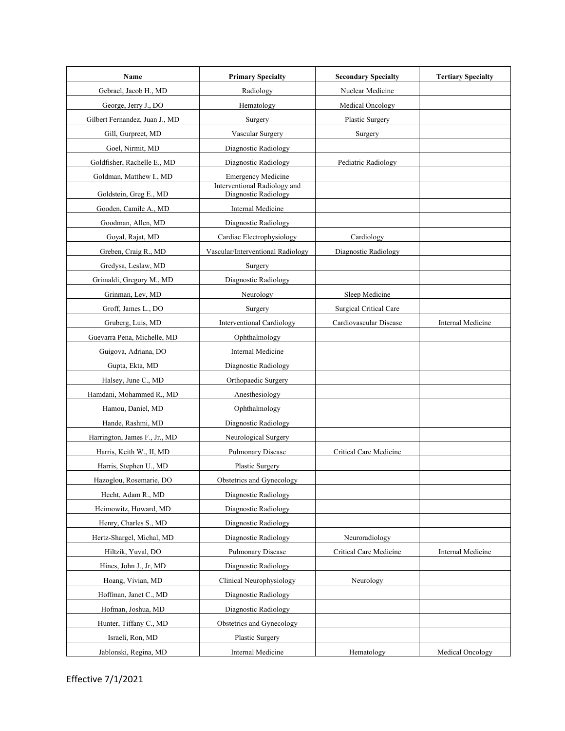| Name                                   | <b>Primary Specialty</b>                             | <b>Secondary Specialty</b>    | <b>Tertiary Specialty</b> |
|----------------------------------------|------------------------------------------------------|-------------------------------|---------------------------|
| Gebrael, Jacob H., MD                  | Radiology                                            | Nuclear Medicine              |                           |
| George, Jerry J., DO                   | Hematology                                           | Medical Oncology              |                           |
| Gilbert Fernandez, Juan J., MD         | Surgery                                              | Plastic Surgery               |                           |
| Gill, Gurpreet, MD                     | Vascular Surgery                                     | Surgery                       |                           |
| Goel, Nirmit, MD                       | Diagnostic Radiology                                 |                               |                           |
| Goldfisher, Rachelle E., MD            | Diagnostic Radiology                                 | Pediatric Radiology           |                           |
| Goldman, Matthew I., MD                | <b>Emergency Medicine</b>                            |                               |                           |
| Goldstein, Greg E., MD                 | Interventional Radiology and<br>Diagnostic Radiology |                               |                           |
| Gooden, Camile A., MD                  | Internal Medicine                                    |                               |                           |
| Goodman, Allen, MD                     | Diagnostic Radiology                                 |                               |                           |
| Goyal, Rajat, MD                       | Cardiac Electrophysiology                            | Cardiology                    |                           |
| Greben, Craig R., MD                   | Vascular/Interventional Radiology                    | Diagnostic Radiology          |                           |
| Gredysa, Leslaw, MD                    | Surgery                                              |                               |                           |
| Grimaldi, Gregory M., MD               | Diagnostic Radiology                                 |                               |                           |
| Grinman, Lev, MD                       | Neurology                                            | Sleep Medicine                |                           |
| Groff, James L., DO                    | Surgery                                              | <b>Surgical Critical Care</b> |                           |
| Gruberg, Luis, MD                      | <b>Interventional Cardiology</b>                     | Cardiovascular Disease        | Internal Medicine         |
| Guevarra Pena, Michelle, MD            | Ophthalmology                                        |                               |                           |
| Guigova, Adriana, DO                   | Internal Medicine                                    |                               |                           |
| Gupta, Ekta, MD                        | Diagnostic Radiology                                 |                               |                           |
|                                        |                                                      |                               |                           |
| Halsey, June C., MD                    | Orthopaedic Surgery                                  |                               |                           |
| Hamdani, Mohammed R., MD               | Anesthesiology                                       |                               |                           |
| Hamou, Daniel, MD<br>Hande, Rashmi, MD | Ophthalmology<br>Diagnostic Radiology                |                               |                           |
|                                        | Neurological Surgery                                 |                               |                           |
| Harrington, James F., Jr., MD          |                                                      | Critical Care Medicine        |                           |
| Harris, Keith W., II, MD               | Pulmonary Disease                                    |                               |                           |
| Harris, Stephen U., MD                 | Plastic Surgery                                      |                               |                           |
| Hazoglou, Rosemarie, DO                | Obstetrics and Gynecology                            |                               |                           |
| Hecht, Adam R., MD                     | Diagnostic Radiology                                 |                               |                           |
| Heimowitz, Howard, MD                  | Diagnostic Radiology                                 |                               |                           |
| Henry, Charles S., MD                  | Diagnostic Radiology                                 |                               |                           |
| Hertz-Shargel, Michal, MD              | Diagnostic Radiology                                 | Neuroradiology                |                           |
| Hiltzik, Yuval, DO                     | Pulmonary Disease                                    | Critical Care Medicine        | Internal Medicine         |
| Hines, John J., Jr, MD                 | Diagnostic Radiology                                 |                               |                           |
| Hoang, Vivian, MD                      | Clinical Neurophysiology                             | Neurology                     |                           |
| Hoffman, Janet C., MD                  | Diagnostic Radiology                                 |                               |                           |
| Hofman, Joshua, MD                     | Diagnostic Radiology                                 |                               |                           |
| Hunter, Tiffany C., MD                 | Obstetrics and Gynecology                            |                               |                           |
| Israeli, Ron, MD                       | Plastic Surgery                                      |                               |                           |
| Jablonski, Regina, MD                  | Internal Medicine                                    | Hematology                    | <b>Medical Oncology</b>   |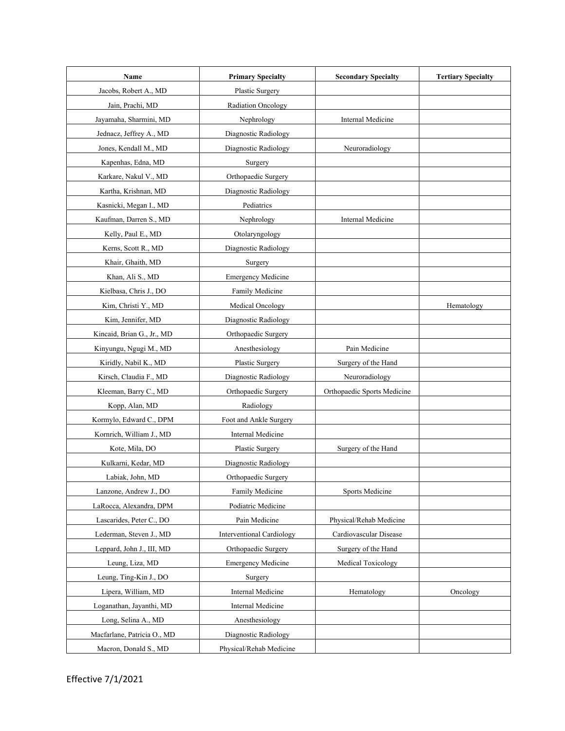| Name                        | <b>Primary Specialty</b>         | <b>Secondary Specialty</b>  | <b>Tertiary Specialty</b> |
|-----------------------------|----------------------------------|-----------------------------|---------------------------|
| Jacobs, Robert A., MD       | Plastic Surgery                  |                             |                           |
| Jain, Prachi, MD            | Radiation Oncology               |                             |                           |
| Jayamaha, Sharmini, MD      | Nephrology                       | Internal Medicine           |                           |
| Jednacz, Jeffrey A., MD     | Diagnostic Radiology             |                             |                           |
| Jones, Kendall M., MD       | Diagnostic Radiology             | Neuroradiology              |                           |
| Kapenhas, Edna, MD          | Surgery                          |                             |                           |
| Karkare, Nakul V., MD       | Orthopaedic Surgery              |                             |                           |
| Kartha, Krishnan, MD        | Diagnostic Radiology             |                             |                           |
| Kasnicki, Megan I., MD      | Pediatrics                       |                             |                           |
| Kaufman, Darren S., MD      | Nephrology                       | Internal Medicine           |                           |
| Kelly, Paul E., MD          | Otolaryngology                   |                             |                           |
| Kerns, Scott R., MD         | Diagnostic Radiology             |                             |                           |
| Khair, Ghaith, MD           | Surgery                          |                             |                           |
| Khan, Ali S., MD            | <b>Emergency Medicine</b>        |                             |                           |
| Kielbasa, Chris J., DO      | Family Medicine                  |                             |                           |
| Kim, Christi Y., MD         | Medical Oncology                 |                             | Hematology                |
| Kim, Jennifer, MD           | Diagnostic Radiology             |                             |                           |
| Kincaid, Brian G., Jr., MD  | Orthopaedic Surgery              |                             |                           |
| Kinyungu, Ngugi M., MD      | Anesthesiology                   | Pain Medicine               |                           |
| Kiridly, Nabil K., MD       | Plastic Surgery                  | Surgery of the Hand         |                           |
| Kirsch, Claudia F., MD      | Diagnostic Radiology             | Neuroradiology              |                           |
| Kleeman, Barry C., MD       | Orthopaedic Surgery              | Orthopaedic Sports Medicine |                           |
| Kopp, Alan, MD              | Radiology                        |                             |                           |
| Kormylo, Edward C., DPM     | Foot and Ankle Surgery           |                             |                           |
| Kornrich, William J., MD    | <b>Internal Medicine</b>         |                             |                           |
| Kote, Mila, DO              | Plastic Surgery                  | Surgery of the Hand         |                           |
| Kulkarni, Kedar, MD         | Diagnostic Radiology             |                             |                           |
| Labiak, John, MD            | Orthopaedic Surgery              |                             |                           |
| Lanzone, Andrew J., DO      | Family Medicine                  | Sports Medicine             |                           |
| LaRocca, Alexandra, DPM     | Podiatric Medicine               |                             |                           |
| Lascarides, Peter C., DO    | Pain Medicine                    | Physical/Rehab Medicine     |                           |
| Lederman, Steven J., MD     | <b>Interventional Cardiology</b> | Cardiovascular Disease      |                           |
| Leppard, John J., III, MD   | Orthopaedic Surgery              | Surgery of the Hand         |                           |
| Leung, Liza, MD             | <b>Emergency Medicine</b>        | Medical Toxicology          |                           |
| Leung, Ting-Kin J., DO      | Surgery                          |                             |                           |
| Lipera, William, MD         | Internal Medicine                | Hematology                  | Oncology                  |
| Loganathan, Jayanthi, MD    | Internal Medicine                |                             |                           |
| Long, Selina A., MD         | Anesthesiology                   |                             |                           |
| Macfarlane, Patricia O., MD | Diagnostic Radiology             |                             |                           |
| Macron, Donald S., MD       | Physical/Rehab Medicine          |                             |                           |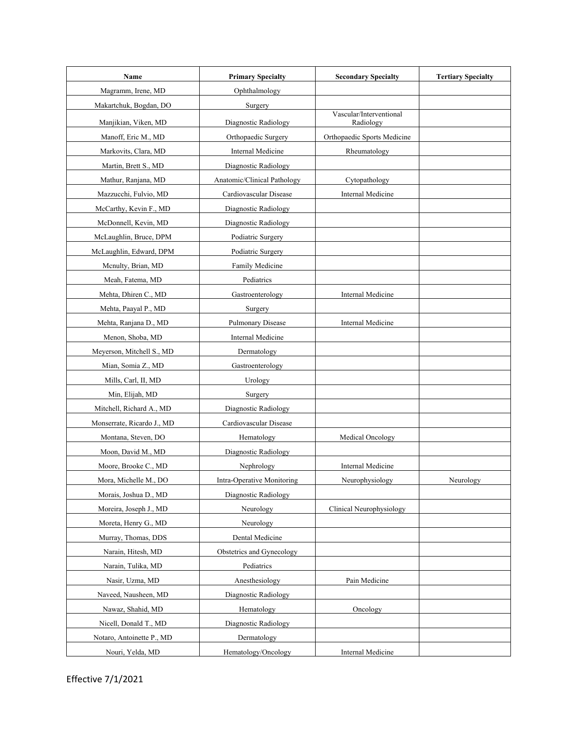| Name                       | <b>Primary Specialty</b>    | <b>Secondary Specialty</b>           | <b>Tertiary Specialty</b> |
|----------------------------|-----------------------------|--------------------------------------|---------------------------|
| Magramm, Irene, MD         | Ophthalmology               |                                      |                           |
| Makartchuk, Bogdan, DO     | Surgery                     |                                      |                           |
| Manjikian, Viken, MD       | Diagnostic Radiology        | Vascular/Interventional<br>Radiology |                           |
| Manoff, Eric M., MD        | Orthopaedic Surgery         | Orthopaedic Sports Medicine          |                           |
| Markovits, Clara, MD       | Internal Medicine           | Rheumatology                         |                           |
| Martin, Brett S., MD       | Diagnostic Radiology        |                                      |                           |
| Mathur, Ranjana, MD        | Anatomic/Clinical Pathology | Cytopathology                        |                           |
| Mazzucchi, Fulvio, MD      | Cardiovascular Disease      | Internal Medicine                    |                           |
| McCarthy, Kevin F., MD     | Diagnostic Radiology        |                                      |                           |
| McDonnell, Kevin, MD       | Diagnostic Radiology        |                                      |                           |
| McLaughlin, Bruce, DPM     | Podiatric Surgery           |                                      |                           |
| McLaughlin, Edward, DPM    | Podiatric Surgery           |                                      |                           |
| Menulty, Brian, MD         | Family Medicine             |                                      |                           |
| Meah, Fatema, MD           | Pediatrics                  |                                      |                           |
| Mehta, Dhiren C., MD       | Gastroenterology            | Internal Medicine                    |                           |
| Mehta, Paayal P., MD       | Surgery                     |                                      |                           |
| Mehta, Ranjana D., MD      | Pulmonary Disease           | Internal Medicine                    |                           |
| Menon, Shoba, MD           | Internal Medicine           |                                      |                           |
| Meyerson, Mitchell S., MD  | Dermatology                 |                                      |                           |
| Mian, Somia Z., MD         | Gastroenterology            |                                      |                           |
| Mills, Carl, II, MD        | Urology                     |                                      |                           |
| Min, Elijah, MD            | Surgery                     |                                      |                           |
| Mitchell, Richard A., MD   | Diagnostic Radiology        |                                      |                           |
| Monserrate, Ricardo J., MD | Cardiovascular Disease      |                                      |                           |
| Montana, Steven, DO        | Hematology                  | Medical Oncology                     |                           |
| Moon, David M., MD         | Diagnostic Radiology        |                                      |                           |
| Moore, Brooke C., MD       | Nephrology                  | Internal Medicine                    |                           |
| Mora, Michelle M., DO      | Intra-Operative Monitoring  | Neurophysiology                      | Neurology                 |
| Morais, Joshua D., MD      | Diagnostic Radiology        |                                      |                           |
| Moreira, Joseph J., MD     | Neurology                   | Clinical Neurophysiology             |                           |
| Moreta, Henry G., MD       | Neurology                   |                                      |                           |
| Murray, Thomas, DDS        | Dental Medicine             |                                      |                           |
| Narain, Hitesh, MD         | Obstetrics and Gynecology   |                                      |                           |
| Narain, Tulika, MD         | Pediatrics                  |                                      |                           |
| Nasir, Uzma, MD            | Anesthesiology              | Pain Medicine                        |                           |
| Naveed, Nausheen, MD       | Diagnostic Radiology        |                                      |                           |
| Nawaz, Shahid, MD          | Hematology                  | Oncology                             |                           |
| Nicell, Donald T., MD      | Diagnostic Radiology        |                                      |                           |
| Notaro, Antoinette P., MD  | Dermatology                 |                                      |                           |
| Nouri, Yelda, MD           | Hematology/Oncology         | Internal Medicine                    |                           |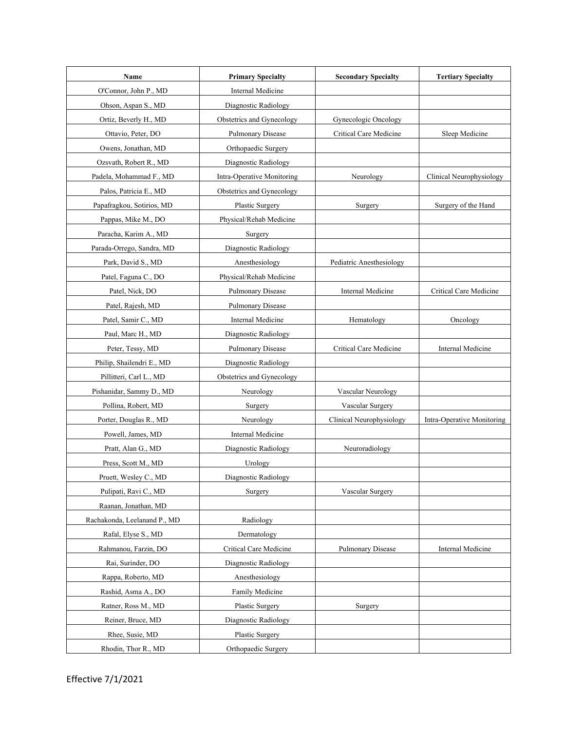| Name                         | <b>Primary Specialty</b>   | <b>Secondary Specialty</b> | <b>Tertiary Specialty</b>  |
|------------------------------|----------------------------|----------------------------|----------------------------|
| O'Connor, John P., MD        | Internal Medicine          |                            |                            |
| Ohson, Aspan S., MD          | Diagnostic Radiology       |                            |                            |
| Ortiz, Beverly H., MD        | Obstetrics and Gynecology  | Gynecologic Oncology       |                            |
| Ottavio, Peter, DO           | Pulmonary Disease          | Critical Care Medicine     | Sleep Medicine             |
| Owens, Jonathan, MD          | Orthopaedic Surgery        |                            |                            |
| Ozsvath, Robert R., MD       | Diagnostic Radiology       |                            |                            |
| Padela, Mohammad F., MD      | Intra-Operative Monitoring | Neurology                  | Clinical Neurophysiology   |
| Palos, Patricia E., MD       | Obstetrics and Gynecology  |                            |                            |
| Papafragkou, Sotirios, MD    | Plastic Surgery            | Surgery                    | Surgery of the Hand        |
| Pappas, Mike M., DO          | Physical/Rehab Medicine    |                            |                            |
| Paracha, Karim A., MD        | Surgery                    |                            |                            |
| Parada-Orrego, Sandra, MD    | Diagnostic Radiology       |                            |                            |
| Park, David S., MD           | Anesthesiology             | Pediatric Anesthesiology   |                            |
| Patel, Faguna C., DO         | Physical/Rehab Medicine    |                            |                            |
| Patel, Nick, DO              | Pulmonary Disease          | Internal Medicine          | Critical Care Medicine     |
| Patel, Rajesh, MD            | Pulmonary Disease          |                            |                            |
| Patel, Samir C., MD          | Internal Medicine          | Hematology                 | Oncology                   |
| Paul, Marc H., MD            | Diagnostic Radiology       |                            |                            |
| Peter, Tessy, MD             | Pulmonary Disease          | Critical Care Medicine     | Internal Medicine          |
| Philip, Shailendri E., MD    | Diagnostic Radiology       |                            |                            |
| Pillitteri, Carl L., MD      | Obstetrics and Gynecology  |                            |                            |
| Pishanidar, Sammy D., MD     | Neurology                  | Vascular Neurology         |                            |
| Pollina, Robert, MD          | Surgery                    | Vascular Surgery           |                            |
| Porter, Douglas R., MD       | Neurology                  | Clinical Neurophysiology   | Intra-Operative Monitoring |
| Powell, James, MD            | <b>Internal Medicine</b>   |                            |                            |
| Pratt, Alan G., MD           | Diagnostic Radiology       | Neuroradiology             |                            |
| Press, Scott M., MD          | Urology                    |                            |                            |
| Pruett. Weslev C MD          | Diagnostic Radiology       |                            |                            |
| Pulipati, Ravi C., MD        | Surgery                    | Vascular Surgery           |                            |
| Raanan, Jonathan, MD         |                            |                            |                            |
| Rachakonda, Leelanand P., MD | Radiology                  |                            |                            |
| Rafal, Elyse S., MD          | Dermatology                |                            |                            |
| Rahmanou, Farzin, DO         | Critical Care Medicine     | Pulmonary Disease          | Internal Medicine          |
| Rai, Surinder, DO            | Diagnostic Radiology       |                            |                            |
| Rappa, Roberto, MD           | Anesthesiology             |                            |                            |
| Rashid, Asma A., DO          | Family Medicine            |                            |                            |
| Ratner, Ross M., MD          | Plastic Surgery            | Surgery                    |                            |
| Reiner, Bruce, MD            | Diagnostic Radiology       |                            |                            |
| Rhee, Susie, MD              | Plastic Surgery            |                            |                            |
| Rhodin, Thor R., MD          | Orthopaedic Surgery        |                            |                            |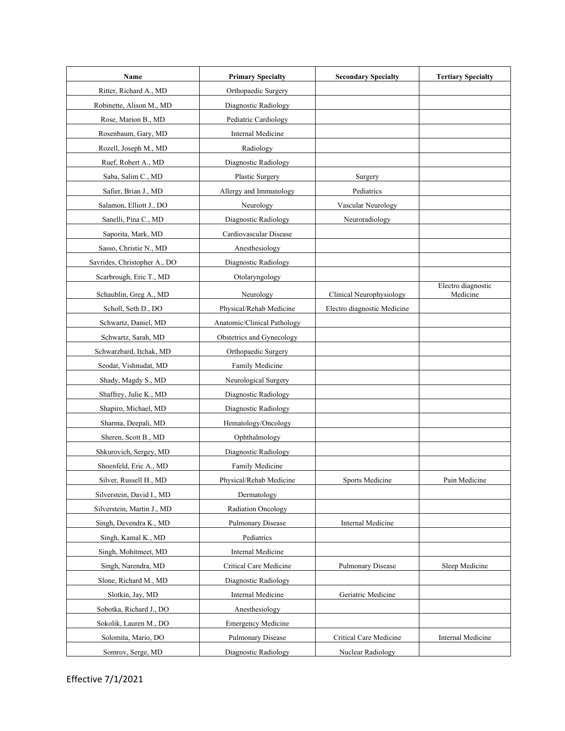| Name                         | <b>Primary Specialty</b>    | <b>Secondary Specialty</b>  | <b>Tertiary Specialty</b>      |
|------------------------------|-----------------------------|-----------------------------|--------------------------------|
| Ritter, Richard A., MD       | Orthopaedic Surgery         |                             |                                |
| Robinette, Alison M., MD     | Diagnostic Radiology        |                             |                                |
| Rose, Marion B., MD          | Pediatric Cardiology        |                             |                                |
| Rosenbaum, Gary, MD          | Internal Medicine           |                             |                                |
| Rozell, Joseph M., MD        | Radiology                   |                             |                                |
| Ruef, Robert A., MD          | Diagnostic Radiology        |                             |                                |
| Saba, Salim C., MD           | Plastic Surgery             | Surgery                     |                                |
| Safier, Brian J., MD         | Allergy and Immunology      | Pediatrics                  |                                |
| Salamon, Elliott J., DO      | Neurology                   | Vascular Neurology          |                                |
| Sanelli, Pina C., MD         | Diagnostic Radiology        | Neuroradiology              |                                |
| Saporita, Mark, MD           | Cardiovascular Disease      |                             |                                |
| Sasso, Christie N., MD       | Anesthesiology              |                             |                                |
| Savrides, Christopher A., DO | Diagnostic Radiology        |                             |                                |
| Scarbrough, Eric T., MD      | Otolaryngology              |                             |                                |
| Schaublin, Greg A., MD       | Neurology                   | Clinical Neurophysiology    | Electro diagnostic<br>Medicine |
| Scholl, Seth D., DO          | Physical/Rehab Medicine     | Electro diagnostic Medicine |                                |
| Schwartz, Daniel, MD         | Anatomic/Clinical Pathology |                             |                                |
| Schwartz, Sarah, MD          | Obstetrics and Gynecology   |                             |                                |
| Schwarzbard, Itchak, MD      | Orthopaedic Surgery         |                             |                                |
| Seodat, Vishnudat, MD        | Family Medicine             |                             |                                |
| Shady, Magdy S., MD          | Neurological Surgery        |                             |                                |
| Shaffrey, Julie K., MD       | Diagnostic Radiology        |                             |                                |
| Shapiro, Michael, MD         | Diagnostic Radiology        |                             |                                |
| Sharma, Deepali, MD          | Hematology/Oncology         |                             |                                |
| Sheren, Scott B., MD         | Ophthalmology               |                             |                                |
| Shkurovich, Sergey, MD       | Diagnostic Radiology        |                             |                                |
| Shoenfeld, Eric A., MD       | Family Medicine             |                             |                                |
| Silver, Russell H., MD       | Physical/Rehab Medicine     | Sports Medicine             | Pain Medicine                  |
| Silverstein, David I., MD    | Dermatology                 |                             |                                |
| Silverstein, Martin J., MD   | <b>Radiation Oncology</b>   |                             |                                |
| Singh, Devendra K., MD       | Pulmonary Disease           | Internal Medicine           |                                |
| Singh, Kamal K., MD          | Pediatrics                  |                             |                                |
| Singh, Mohitmeet, MD         | Internal Medicine           |                             |                                |
| Singh, Narendra, MD          | Critical Care Medicine      | <b>Pulmonary Disease</b>    | Sleep Medicine                 |
| Slone, Richard M., MD        | Diagnostic Radiology        |                             |                                |
| Slotkin, Jay, MD             | Internal Medicine           | Geriatric Medicine          |                                |
| Sobotka, Richard J., DO      | Anesthesiology              |                             |                                |
| Sokolik, Lauren M., DO       | <b>Emergency Medicine</b>   |                             |                                |
| Solomita, Mario, DO          | Pulmonary Disease           | Critical Care Medicine      | Internal Medicine              |
| Somrov, Serge, MD            | Diagnostic Radiology        | Nuclear Radiology           |                                |